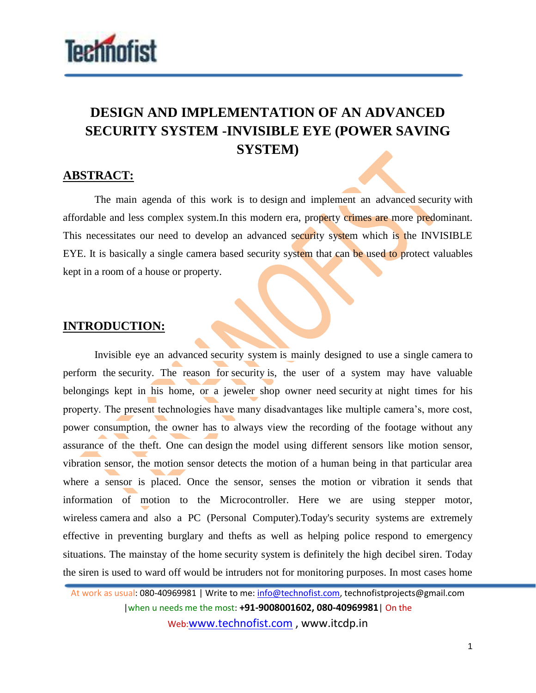

## **DESIGN AND IMPLEMENTATION OF AN ADVANCED SECURITY SYSTEM -INVISIBLE EYE (POWER SAVING SYSTEM)**

## **ABSTRACT:**

The main agenda of this work is to design and implement an advanced security with affordable and less complex system.In this modern era, property crimes are more predominant. This necessitates our need to develop an advanced security system which is the INVISIBLE EYE. It is basically a single camera based security system that can be used to protect valuables kept in a room of a house or property.

## **INTRODUCTION:**

Invisible eye an advanced security system is mainly designed to use a single camera to perform the security. The reason for security is, the user of a system may have valuable belongings kept in his home, or a jeweler shop owner need security at night times for his property. The present technologies have many disadvantages like multiple camera's, more cost, power consumption, the owner has to always view the recording of the footage without any assurance of the theft. One can design the model using different sensors like motion sensor, vibration sensor, the motion sensor detects the motion of a human being in that particular area where a sensor is placed. Once the sensor, senses the motion or vibration it sends that information of motion to the Microcontroller. Here we are using stepper motor, wireless camera and also a PC (Personal Computer).Today's security systems are extremely effective in preventing burglary and thefts as well as helping police respond to emergency situations. The mainstay of the home security system is definitely the high decibel siren. Today the siren is used to ward off would be intruders not for monitoring purposes. In most cases home

At work as usual: 080-40969981 | Write to me: info@technofist.com, technofistprojects@gmail.com |when u needs me the most: **+91-9008001602, 080-40969981**| On the Web:www.technofist.com , www.itcdp.in